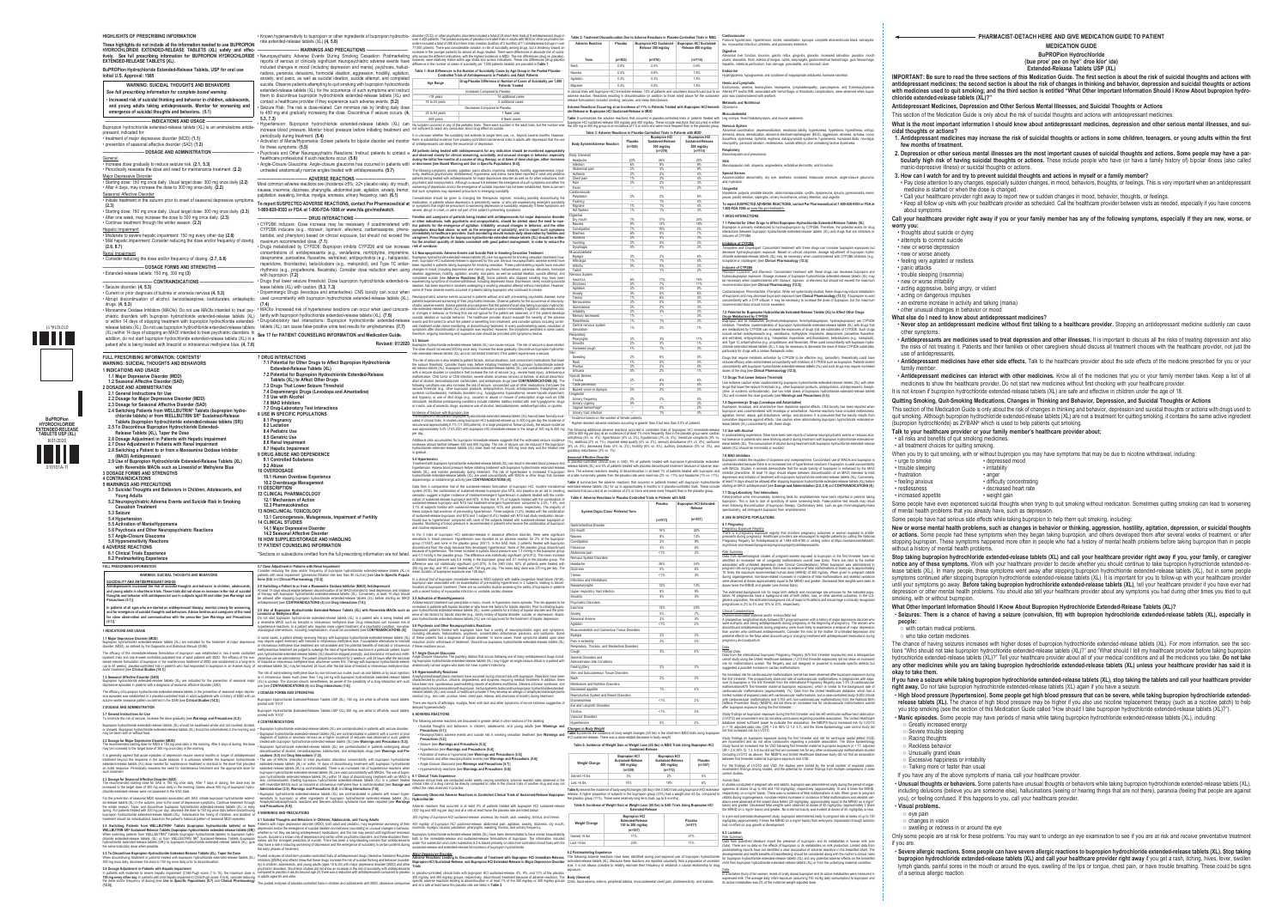**BuPROPion HYDROCHLORIDE EXTENDED-RELEASE TABLETS USP (XL)** R01/2020

010101A-11

010101A-11

TI III

**These highlights do not include all the information needed to use BUPROPION HYDROCHLORIDE EXTENDED-RELEASE TABLETS (XL) safely and effec**tively. See full prescribing information for BUPROPION HYDROCHLORIDE . Neuropsychiatric Adverse Events During Smoking Cessation: Postmarketing ality across the different indications, with the highest incidence in MDD. The **EXTENDED-RELEASE TABLETS (XL).**

**BuPROPion Hydrochloride Extended-Release Tablets, USP for oral use Initial U.S. Approval: 1985**

 $-$  INDICATIONS AND USAGE  $-$ Bupropion hydrochloride extended-release tablets (XL) is an aminoketone antidepressant, indicated for:

## **WARNING: SUICIDAL THOUGHTS AND BEHAVIORS**  *See full prescribing information for complete boxed warning.*

• **Increased risk of suicidal thinking and behavior in children, adolescents, and young adults taking antidepressants. Monitor for worsening and emergence of suicidal thoughts and behaviors. (5.1)**

• treatment of major depressive disorder (MDD) **(1.1)**

# • prevention of seasonal affective disorder (SAD) **(1.2)**

**—————————— DOSAGE AND ADMINISTRATION ——————————** General:

drugs. **(4, 5.3)** • Monoamine Oxidase Inhibitors (MAOIs): Do not use MAOIs intended to treat psychiatric disorders with bupropion hydrochloride extended-release tablets (XL) tantly with bupropion hydrochloride extended-release tablets (XL). **(7.6)** release tablets (XL). Do not use bupropion hydrochloride extended-release tablets (XL) within 14 days of stopping an MAOI intended to treat psychiatric disorders. In addition, do not start bupropion hydrochloride extended-release tablets (XL) in a patient who is being treated with linezolid or intravenous methylene blue. **(4, 7.6) SECUTE 1999 COUNSELING INCOUNTS 2009 COUNSELING INFORMATION and Medication Guide.**<br>(XL) within 14 days of stopping an MAOI intended to treat psychiatric disorders. In See 17 for PATIENT COUNSELING INFORMATION and Medicati

## • Increase dose gradually to reduce seizure risk. **(2.1, 5.3)** • Periodically reassess the dose and need for maintenance treatment. **(2.2)**

Major Depressive Disorder • Starting dose: 150 mg once daily. Usual target dose: 300 mg once daily **(2.2)** • After 4 days, may increase the dose to 300 mg once daily. **(2.2)**

**—————————— WARNINGS AND PRECAUTIONS —————————** reports of serious or clinically significant neuropsychiatric adverse events have however, were relatively stable within age strata and across indications. These risk differences (drug-placebo) are provided in Table 1.<br>inc included changes in mood (including depression and mania), psychosis, hallucinations, paranoia, delusions, homicidal ideation, aggression, hostility, agitation, Table 1: Risk Differences in the Number of Suicidality Cases by Age Group in the Pooled Placebo-<br>Controlled Trials of Antidepressants in P anxiety, and panic, as well as suicidal ideation, suicide attempt, and completed suicide. Observe patients attempting to quit smoking with bupropion hydrochloride extended-release tablets (XL) for the occurrence of such symptoms and instruct them to discontinue bupropion hydrochloride extended-release tablets (XL) and contact a healthcare provider if they experience such adverse events. **(5.2)** Seizure Risk: The risk is dose-related. Can minimize risk by limiting daily dose to 450 mg and gradually increasing the dose. Discontinue if seizure occurs. **(4, 5.3, 7.3)** • Hypertension: Bupropion hydrochloride extended-release tablets (XL) can No suicides occurred in any of the pediatric trials. There were suicides in the adult trials, but the number was

- Seasonal Affective Disorder • Initiate treatment in the autumn prior to onset of seasonal depressive symptoms.
- **(2.3)** • Starting dose: 150 mg once daily. Usual target dose: 300 mg once daily. **(2.3)** • After one week, may increase the dose to 300 mg once daily. **(2.3)**
- Continue treatment through the winter season. **(2.3)**
- Hepatic Impairment • Moderate to severe hepatic impairment: 150 mg every other day **(2.6)** • Mild hepatic impairment: Consider reducing the dose and/or frequency of dosing.
- **(2.6, 8.7)**

### Renal Impairment • Consider reducing the dose and/or frequency of dosing. **(2.7, 8.6)**

- $-$  DOSAGE FORMS AND STRENGTHS -
- Extended-release tablets: 150 mg, 300 mg **(3)**  $-$  CONTRAINDICATIONS -

increase blood pressure. Monitor blood pressure before initiating treatment and not sufficient to reach any conclusion about drug effect on suicide. periodically during treatment. **(5.4)** • Activation of Mania/Hypomania: Screen patients for bipolar disorder and monitor there is substantial evidence from placebo-controlled maintenance trials in adults with depression that the use

• Angle-Closure Glaucoma: Angle-closure glaucoma has occurred in patients with untreated anatomically narrow angles treated with antidepressants. **(5.7)**  $-$  ADVERSE REACTIONS  $-$ 

Most common adverse reactions are (incidence  $\geq 5\%$ ;  $\geq 2\times$  placebo rate): dry mouth, experience of depression and or personnel acusal link between the emergence of such shapes he and hope and such second published, mode common davoice readable and (moderned  $=0.0$ ,  $=$  placeborday: ary modari, worsening of depression and/or the emergence of suicidal impulses has not been established, there is concern<br>nausea, insomnia, dizziness, phar palpitation, sweating, tinnitus, myalgia, anorexia, urinary frequency, rash. (6.1) consideration should be given to changing the therapeutic regimen, including possibly discontinuing the

• Seizure disorder. **(4, 5.3)** • Current or prior diagnosis of bulimia or anorexia nervosa **(4, 5.3)** • Abrupt discontinuation of alcohol, benzodiazepines, barbiturates, antiepileptic

• Known hypersensitivity to bupropion or other ingredients of bupropion hydrochloride extended-release tablets (XL) **(4, 5.8)**

for these symptoms. **(5.5)** • Psychosis and Other Neuropsychiatric Reactions: Instruct patients to contact a healthcare professional if such reactions occur. **(5.6)**

**———————————— DRUG INTERACTIONS —————————————** • CYP2B6 inducers: Dose increase may be necessary if coadministered with CYP2B6 inducers (e.g., ritonavir, lopinavir, efavirenz, carbamazepine, phenobarbital, and phenytoin) based on clinical exposure, but should not exceed the maximum recommended dose. **(7.1)**

The efficacy of the immediate-release formulation of bupropion was established in two 4-week controlled<br>inpatient trials and one 6-week controlled outpatient trial of adult patients with MDD. The efficacy of the sus-<br>taine (up to 44 weeks), placebo-controlled trial in patients who had responded to bupropion in an 8-week study of ed-release tablets (XL) may be resumed 24 hours after the last dose of linezolid or intravenous methylene blue. an acute treatment [see **Clinical Studies (14.1)**].

**1.2 Seasonal Affective Disorder (SAD)**<br>Bupropion hydrochloride extended-release tablets (XL) are indicated for the prevention of seasonal major<br>depressive episodes in patients with a diagnosis of seasonal affective disord The efficacy of bupropion hydrochloride extended-release tablets in the prevention of seasonal major depres- 3 DOSAGE FORMS AND STRENGTHS sive episodes was established in 3 placebo-controlled trials in adult outpatients with a history of MDD with an autumn-winter seasonal pattern as defined in the DSM [see **Clinical Studies (14.2)**].

**2.1 General Instructions for Use** To minimize the risk of seizure, increase the dose gradually [see **Warnings and Precautions (5.3)**]. Bupropion hydrochloride extended-release tablets (XL) should be swallowed whole and not crushed, divided,<br>or chewed. Bupropion hydrochloride extended-release tablets (XL) should be administered in the morning and • Bupro

• Drugs metabolized by CYP2D6: Bupropion inhibits CYP2D6 and can increase **risk of overdose.** concentrations of: antidepressants (e.g., venlafaxine, nortriptyline, imipramine, 5.2 Neuropsychiatric Adverse Events and Suicide Risk in Smoking Cessation Treatment desipramine, paroxetine, fluoxetine, sertraline), antipsychotics (e.g., haloperidol, risperidone, thioridazine), beta-blockers (e.g., metoprolol), and Type 1C antiarrhythmics (e.g., propafenone, flecainide). Consider dose reduction when using with bupropion. **(7.2)**

• Drugs that lower seizure threshold: Dose bupropion hydrochloride extended-release tablets (XL) with caution. **(5.3, 7.3)** • Dopaminergic Drugs (levodopa and amantadine): CNS toxicity can occur when

used concomitantly with bupropion hydrochloride extended-release tablets (XL). **(7.4)** • MAOIs: Increased risk of hypertensive reactions can occur when used concomi-

or within 14 days of stopping treatment with bupropion hydrochloride extended- • Drug-laboratory test interactions: Bupropion hydrochloride extended-release events and the extent to which the patient is benefiting form tre tablets (XL) can cause false-positive urine test results for amphetamines. (7.7) ued treatment under closer monitoring, or discontinuing treatment. In many postmarketing cases, resolution of<br>A 17 for PATIFNT COUNSELING IN

**2.3 Dosage for Seasonal Affective Disorder (SAD)**<br>The recommended starting dose for SAD is 150 mg once daily. After 7 days of dosing, the dose may be<br>increased to the target dose of 300 mg once daily in the morning. Doses chloride extended-release were not assessed in the SAD trials.

**Revised: 01/2020**

**FULL PRESCRIBING INFORMATION: CONTENTS\* WARNING: SUICIDAL THOUGHTS AND BEHAVIORS**

- **1 INDICATIONS AND USAGE 1.1 Major Depressive Disorder (MDD)**
- **1.2 Seasonal Affective Disorder (SAD)**
- **2 DOSAGE AND ADMINISTRATION**
- **2.1 General Instructions for Use**
- **2.2 Dosage for Major Depressive Disorder (MDD)**

**2.6 Dosage Adjustment in Patients with Hepatic Impairment** In patients with moderate to severe hepatic impairment (Child-Pugh score: 7 to 15), the maximum dose is compared to placebo in adults beyond age 24; there was a reduction with antidepressants compared to placebo-controlled 1**50 mg every other day.** In patients with mild hepatic impairment (Child-Pugh score: 5 to 6), consider reducing<br>the dose and/or frequency of dosing [see **Use in Specific Populations (8.7)** and **Clinical Pharmacology**<br>(12.

sider reducing the dose and/or frequency of bupropion hydrochloride extended-release tablets (XL) in patients with renal impairment (glomerular filtration rate less than 90 mL/min) [see **Use in Specific Popula-tions (8.6)** and **Clinical Pharmacology (12.3)**]*.*

a reversible MAOI such as linezolid or intravenous methylene blue. Drug interactions can increase risk of<br>hypertensive reactions. In a patient who requires more urgent treatment of a psychiatric condition, non-phar-<br>macolo

In some cases, a patient already receiving therapy with bupropion hydrochloride extended-release tablets (XL)<br>may require urgent treatment with linezolid or intravenous methylene blue. If acceptable alternatives to linezoi

or in intravenous doses much lower than 1 mg per kg with bupropion hydrochloride extended-release tablets<br>(XL) is unclear. The clinician should, nevertheless, be aware of the possibility of a drug interaction with such<br>use

- **2.3 Dosage for Seasonal Affective Disorder (SAD) 2.4 Switching Patients from WELLBUTRIN® Tablets (bupropion hydrochloride tablets) or from WELLBUTRIN SR® Sustained-Release**
- **Tablets (bupropion hydrochloride extended-release tablets (SR)) 2.5 To Discontinue Bupropion Hydrochloride Extended-**
- **Release Tablets (XL), Taper the Dose**
- **2.6 Dosage Adjustment in Patients with Hepatic Impairment**
- **2.7 Dose Adjustment in Patients with Renal Impairment 2.8 Switching a Patient to or from a Monoamine Oxidase Inhibitor (MAOI) Antidepressant**
- **2.9 Use of Bupropion Hydrochloride Extended-Release Tablets (XL) with Reversible MAOIs such as Linezolid or Methylene Blue**
- **3 DOSAGE FORMS AND STRENGTHS 4 CONTRAINDICATIONS**
- **5 WARNINGS AND PRECAUTIONS 5.1 Suicidal Thoughts and Behaviors in Children, Adolescents, and**
- **Young Adults**
- **5.2 Neuropsychiatric Adverse Events and Suicide Risk in Smoking Cessation Treatment**
- **5.3 Seizure**
- **5.4 Hypertension**
- **5.5 Activation of Mania/Hypomania 5.6 Psychosis and Other Neuropsychiatric Reactions**
- **5.7 Angle-Closure Glaucoma**
- **5.8 Hypersensitivity Reactions**
- **6 ADVERSE REACTIONS**
- **6.1 Clinical Trials Experience 6.2 Postmarketing Experience**
- **FULL PRESCRIBING INFORMATION**

### **7 DRUG INTERACTIONS**

**7.1 Potential for Other Drugs to Affect Bupropion Hydrochloride Extended-Release Tablets (XL)**

**7.2 Potential for Bupropion Hydrochloride Extended-Release Tablets (XL) to Affect Other Drugs**

- **7.3 Drugs That Lower Seizure Threshold**
- **7.4 Dopaminergic Drugs (Levodopa and Amantadine)**
- **7.5 Use with Alcohol**
- **7.6 MAO Inhibitors**
- **7.7 Drug-Laboratory Test Interactions**
- **8 USE IN SPECIFIC POPULATIONS 8.1 Pregnancy**
- **8.2 Lactation**
- **8.4 Pediatric Use**
- **8.5 Geriatric Use**
- **8.6 Renal Impairment 8.7 Hepatic Impairment**
- **9 DRUG ABUSE AND DEPENDENCE**
- **9.1 Controlled Substance 9.2 Abuse**
- **10 OVERDOSAGE**
- **10.1 Human Overdose Experience**
- **10.2 Overdosage Management**
- **11 DESCRIPTION 12 CLINICAL PHARMACOLOGY**

**12.1 Mechanism of Action**

- **12.3 Pharmacokinetics**
- **13 NONCLINICAL TOXICOLOGY 13.1 Carcinogenesis, Mutagenesis, Impairment of Fertility**

**14 CLINICAL STUDIES**

**14.1 Major Depressive Disorder 14.2 Seasonal Affective Disorder 16 HOW SUPPLIED/STORAGE AND HANDLING 17 PATIENT COUNSELING INFORMATION**

\*Sections or subsections omitted from the full prescribing information are not listed.

## **WARNING: SUICIDAL THOUGHTS AND BEHAVIORS**

**SUICIDALITY AND ANTIDEPRESSANT DRUGS And increased the risk of suicidal thoughts and behavior in children, adolescents, and young adults in short-term trials. These trials did not show an increase in the risk of sui thoughts and behavior with antidepressant use in subjects aged 65 and older [see Warnings and Precautions (5.1)]***.*

# In patients of all ages who are started on antidepressant therapy, monitor closely for worsening, and the pro-<br>Intervidual the control of the control of the control of the controller the present of the proper started and<br>T

For the prevention of seasonal MDD episodes associated with SAD, initiate bupropion hydrochloride extend.<br>The actual of the actual of the actual of the actual of the actual of the actual of depressive symptoms. Continue tr treatment should be individualized, based on the patient's historical pattern of seasonal MDD episodes. **5.1 Suicidal Thoughts and Behaviors in Children, Adolescents, and Young Adults**

2.4 Switching Patients from WELLBUTRIN® Tablets (bupropion hydrochloride tablets) or from WELLBUTRIN® Tablets (bupropion hydrochloride states and When switching patients from WELLBUTRIN® Tablets (bupropion hydrochloride ta

2**.5 To Discontinue Bupropion Hydrochloride Extended-Release Tablets (XL), Taper the Dose<br>When discontinuing treatment in patients treated with bupropion hydrochloride extended-release tablets (XL)<br>300 mg once daily, decre** 

**for close observation and communication with the prescriber [see Warnings and Precautions (5.1)]. 1 INDICATIONS AND USAGE**

**1.1 Major Depressive Disorder (MDD)**<br>Bupropion hydrochloride extended-release tablets (XL) are indicated for the treatment of major depressive<br>disorder (MDD), as defined by the Diagnostic and Statistical Manual (DSM).

25 to 64 years 1 fewer case ≥65 years 6 fewer cases

### **2 DOSAGE AND ADMINISTRATION**

### may be taken with or without food. **2.2 Dosage for Major Depressive Disorder (MDD)**

The recommended starting dose for MDD is 150 mg once daily in the morning. After 4 days of dosing, the dose<br>may be increase tablets (XL) are contraindicated in patients undergoing abrupt<br>It is generally agreed that acute e may be increased to the target dose of 300 mg once daily in the morning. It is generally agreed that acute episodes of depression require several months or longer of antidepressant cauttons (5.3) and D**rug Interactions (7.3**)].<br>treatment beyond the response in the acute episode. It is unknown an initial response. Periodically reassess the need for maintenance treatment and the appropriate dose for extended-release tablets (XL) is contraindicated. There is an increased risk of hypertensive reactions when + Hyper

following conditions can also increase the risk of seizure: concomitant use of other medications that lower the<br>seizure threshold (e.g., other bupropion products, antipsychotics, tricyclic antidepressants, theophylline, an and hypoxia), or use of illicit drugs (e.g., cocaine) or abuse or misuse of prescription drugs such as CNS stimulants. Additional predisposing conditions include diabetes mellitus treated with oral hypoglycemic drugs or insulin, use of anorectic drugs, excessive use of alcohol, benzodiazepines, sedative/hypnotics, or opiates. Incidence of Seizure with Bupropion Use<br>The incidence of seizure with bupropion hydrochloride extended-release tablets (XL) has not been formally eval-The incidence of seizure with bupropion hydrochloride extended-release tablets (XL) has not been formally eval<br>uated in clinical trials. In studies using bupropion HCI sustained-release up to 300 mg per day the incidence o

Additional data accumulated for bupropion immediate-release suggests that the estimated seizure incidence<br>increases almost tenfold between 450 and 600 mg/day. The risk of seizure can be reduced if the bupropion<br>hydrochlori

system (NTS), the combination of sustained-release bupropion plus NTS, and placebo as an aid to smoking<br>cessation suggest a higher incidence of treatment-emergent hypertension in patients treated with the combination<br>of su

### To report SUSPECTED ADVERSE REACTIONS, contact Par Pharmaceutical at medication, in patients whose depression is persistently worse, or who are experiencing emergent suicidality **1-800-828-9393 or FDA at 1-800-FDA-1088 or www.fda.gov/medwatch.** severe, abrupt in onset, or were not part of the patient's presenting symptoms.

## such treatment.

**2.7 Dose Adjustment in Patients with Renal Impairment**

**2.8 Switching a Patient to or from a Monoamine Oxidase Inhibitor (MAOI) Antidepressant**

antidepressant [see **CONTRAINDICATIONS (4)** and **Drug Interactions (7.6)**]*.*

**3 DOSAGE FORMS AND STRENGTHS**

Bupropion Hydrochloride Extended-Release Tablets USP (XL), 150 mg, are white to off-white, round tablets, printed with "A101". Bupropion Hydrochloride Extended-Release Tablets USP (XL) 300 mg, are white to off-white, round tablets,

printed with "A102". **4 CONTRAINDICATIONS**

• Bupropion hydrochloride extended-release tablets (XL) are contraindicated in patients with a current or prior diagnosis of bulimia or anorexia nervosa as a higher incidence of seizures was observed in such patients treated with bupropion hydrochloride extended-release tablets (XL) [see **Warnings and Precautions (5.3)**]*.*

bupropion hydrochloride extended-release tablets (XL) are used concomitantly with MAOIs. The use of bupro-<br>pion hydrochloride extended-release tablets (XL) within 14 days of discontinuing treatment with an MAOI is<br>also con

• Bupropion hydrochloride extended-release tablets (XL) are contraindicated in patients with known hyper-<br>sensitivity to bupropion or other ingredients of bupropion hydrochloride extended-release tablets (XL).<br>Anaphylactoi

Patients with major depressive disorder (MDD), both adult and pediatric, may experience worsening of their<br>depression and/or the emergence of suicidal ideation and behavior (suicidality) or unusual changes in behavior,<br>whe

Pooled analyses of short-term placebo-controlled trials of antidepressant drugs (Selective Serotonin Reuptake<br>Inhibitors [SSRIs] and others) show that these drugs increase the risk of suicidal thinking and behavior (suicid

**Commonly Observed Adverse Reactions in Controlled Clinical Trials of Sustained-Release Bupropion Hydrochloride** Adverse reactions that occurred in at least 5% of patients treated with bupropion HCl sustained-release *300 mg/day of bupropion HCl sustained-release:* anorexia, dry mouth, rash, sweating, tinnitus, and tremor. *400 mg/day of bupropion HCl sustained-release: a*bdominal pain, agitation, anxiety, dizziness, dry mouth,<br>insomnia, myalgia, nausea, palpitation, pharyngitis, sweating, tinnitus, and urinary frequency.

Bupropion hydrochloride extended-release tablets (XL) have been demonstrated to have similar bioavailability<br>both to the immediate-release and sustained-release formulations of bupropion. The information included<br>under thi

<u>Major Depres*sive Disorder*</u><br>Adverse Reactions Leading to Discontinuation of Treatment with Bupropion HCl Immediate-Release,<br>Bupropion HCl Sustained-Release, and Bupropion HCl Extended-Release in Major Depressive Disorder

300 mg/day and 400 mg/day groups, respectively, discontinued treatment because of adverse reactions. The<br>specific adverse reactions leading to discontinuation in at least 1% of the 300 mg/day or 400 mg/day groups<br>and at a

**Adverse Reactions Occurring at an Incidence of >1% in Patients Treated with Bupropion HCl Immedi-ate-Release or Bupropion HCl Sustained-Release in MDD** Glycosuria. **Table 3** summarizes the adverse reactions that occurred in placebo-controlled trials in patients treated with Leg cramps, fever/rhabdomyolysis, and muscle weakness. bupropion HCl sustained-release 300 mg/day and 400 mg/day. These include reactions that occurred in either<br>the 300 mg or 400 mg group at an incidence of 1% or more and were more frequent than in the placebo group. **Nervo** 

in adults aged 65 and older.

The pooled analyses of placebo-controlled trials in children and adolescents with MDD, obsessive compulsive

At least 14 days should elapse between discontinuation of an MAOI intended to treat depression and initiation<br>of therapy with bupropion hydrochloride extended-release tablets (XL). Conversely, at least 14 days should<br>be al

Lost >5 lbs 14% 19% 6% release. A higher proportion of subjects in the bupropion group (23%) had a weight loss ≥5 lbs, compared to<br>the placebo group (11%). These were relatively long-term trials (up to 6 months).

**Extended-Release 150 to 300 mg/day (n=537) (n=511)** Gained >5 lbs 21% 21%  $\textsf{Loss} \geq 5 \textsf{ lbs}$  11%

6.2 Postmarketing Experience<br>The following adverse reactions have been identified during post-approval use of bupropion hydrochloride<br>extended-release tablets (XL). Because these reactions are reported voluntarily from a p

**Age Range Drug-Placebo Difference in Number of Cases of Suicidality per 1,000** 

**Patients Treated**

14 additional cases

Increases Compared to Placebo

Decreases Compared to Placebo

**Cardiovascular**<br>Postural hypotension, hypertension, stroke, vasodilation, syncope, complete atrioventricular block, extrasystoles, myocardial infarction, phlebitis, and pulmonary embolism **Digestive** Abnormal liver function, bruxism, gastric reflux, gingivitis, glossitis, increased salivation, jaundice, mouth

**Respiratory** Bronchospasm and pneumonia. **Skin**<br>Maculopapular rash, alopecia, angioedema, exfoliative dermatitis, and hirsutism.

pause, painful erection, salpingitis, urinary incontinence, urinary retention, and vaginitial **To report SUSPECTED ADVERSE REACTIONS, contact Par Pharmaceutical at 1-800-828-9393 or FDA at 1-800-FDA-1088 or** www.fda.gov/medwatch.

**Inducers of CYP2B6** *Ritonavir, Lopinavir, and Efavirenz:* Concomitant treatment with these drugs can decrease bupropion and hydroxybupropion exposure. Dosage increase of bupropion hydrochloride extended-release tablets (XL) may<br>be necessary when coadministered with ritonavir, lopinavir, or efavirenz but should not exceed the maximum<br>recommended

*Carbamazepine, Phenobarbital, Phenytoin:* While not systemically studied, these drugs may induce metabolism<br>of bupropion and may decrease bupropion exposure [see Clinical Pharmacology (12.31). If bupropion is used<br>concomi recommended dose should not be exceeded.

The risk of administering methylene blue by non-intravenous routes (such as oral tablets or by local injection) **5.8 Hypersensitivity Reactions**

Linezolid or Methylene Blue<br>Do not start bupropion hydrochloride extended-release tablets (XL) in a patient who is being treated with pion hydrochloride extended-release tablets (XL) are not approved for the treatment of b

Data from a comparative trial of the sustained-release formulation of bupropion HCl, nicotine transdermal extended-release tablets (XL) for up to approximately 6 months in 3 placebo-controlled trials. Threse include statti Table 4 summarizes the adverse reactions that occurred in patients treated with bupropion hydrochloride at least 14 days should be allowed after stopping bupropion hydrochloride extended-release tablets (XL) before **7.6 MAO Inhibitors**<br>Bupropion inhibits the reuptake of dopamine and norepinephrine. Concomitant use of MAOIs and bupropion is<br>contraindicated because there is an increased risk of hypertensive reactions if bupropion is us with MAOIs. Studies in animals demonstrate that the acute toxicity of bupropion is enhanced by the MAO<br>inhibitor phenelzine. At least 14 days should elapse between discontinuation of an MAOI intended to treat<br>depression an **7.7 Drug-Laboratory Test Interactions**

> False-positive urine immunoassay screening tests for amphetamines have been reported in patients taking<br>bupropion. This is due to lack of specificity of some screening tests. False-positive test results may result<br>even fol spectrometry, will distinguish bupropion from amphetamines. **8 USE IN SPECIFIC POPULATIONS**

### Clinical Considerations *Disease-associated maternal and/or embryo/fetal risk*

the first trimester. The prospectively observed rate of cardiovascular malformations in pregnancies with exposure to bupropion in the first trimester from the international Pregnancy Registry was 1.3% (9 cardiovascular<br>malformations/675 first-trimester maternal bupropion exposures), which is similar to the background rate of cardiovascular malformations (approximately 1%). Data from the United Healthcare database, which has a<br>limited number of exposed cases with cardiovascular malformations, and a case-controlled study (6,853 infants<br>with card Defects Prevention Study (NBDPS) did not show an increased risk for cardiovascular malformations overall after bupropion exposure during the first trimester.

Study findings on bupropion exposure during the first trimester and risk left ventricular outflow tract obstruction (LVOTO) are inconsistent and do not allow conclusions regarding possible association. The United Healthcare database lacked sufficient power to evaluate this association; the NBDPS found increased risk for LVOTO (n = 10; adjusted odds ratio (OR) = 2.6; 95% CI 1.2, 5.7), and the Slone Epidemiology case control study did not find increased risk for LVOTO

Table 6 presents the incidence of body weight changes (≥5 lbs) in the 3 SAD trials using bupropion HCl extended- ogenesis at doses of up to 450 and 150 mg/kg/day, respectively (approximately 10 and 6 times the MRHD, *Animal Data* In studies conducted in pregnant rats and rabbits, bupropion was administered orally during the period of organrespectively, on a mg/mº basis). There was no evidence of fetal malformations in rats. When given to pregnant<br>rabbits during organogenesis, nondose-related increases in incidence of fetal malformations and skeletal vari-<br> the MRHD on a mg/m² basis) and greater. No maternal toxicity was evident at doses of 50 mg/kg/day or less. In a pre-and postnatal development study, bupropion administered orally to pregnant rats at doses of up to 150 mg/kg/day (approximately 3 times the MRHD on a mg/m<sup>2</sup> basis) from embryonic implantation through lactation had no effect on pup growth or development.

per day.

**Body (General)**<br>Chills, facial edema, edema, peripheral edema, musculoskeletal chest pain, photosensitivity, and malaise. and accreate hilk. The average daily infant exposure (assuming 150 mi In a lactation study of ten women, levels of orally dosed bupropion and its active metabolites were measured in expressed milk. The average daily infant exposure (assuming 150 mL/kg daily consumption) to bupropion and

dopaminergic or noradrenergic activity [see **CONTRAINDICATIONS (4)**].

18 to 24 years 5 additional cases

When you try to quit smoking, with or without bupropion you may have symptoms that may be due to nicotine withdrawal, including: • urge to smoke • depressed mood<br>• trouble sleeping • irritability

- trouble sleeping
- frustration anger

disorder (OCD), or other psychiatric disorders included a total of 24 short-term trials of 9 antidepressant drugs in<br>over 4,400 patients. The pooled analyses of placebo-controlled trials in adults with MDD or other psychia 77,000 patients. There was considerable variation in risk of suicidality among drugs, but a tendency toward an<br>increase in the younger patients for almost all drugs studied. There were differences in absolute risk of suici

> **Stop taking bupropion hydrochloride extended-release tablets (XL) and call your healthcare provider right away if you, your family, or caregiver notice any of these symptoms.** Work with your healthcare provider to decide whether you should continue to take bupropion hydrochloride extended-release tablets (XL). In many people, these symptoms went away after stopping bupropion hydrochloride extended-release tablets (XL), but in some people symptoms continued after stopping bupropion hydrochloride extended-release tablets (XL). It is important for you to follow-up with your healthcare provider until your symptoms go away. **Before taking bupropion hydrochloride extended-release tablets (XL)**, tell your healthcare provider if you have ever had iealth problems. You should also tell your healthcare provider about any symptoms you had during other times you tried to quit

○ with certain medical problems. ○ who take certain medicines.

○ Greatlv increased energy ○ Severe trouble sleeping ○ Racing thoughts ○ Reckless behavior ○ Unusually grand ideas

○ Excessive happiness or irritability ○ Talking more or faster than usual

○ swelling or redness in or around the eye

| not sumclent to reach any conclusion about drug emect on suicide.                                                                                                                                                                                                                                                                                                                                                                                                                                                                                                                                                                                                  |                                     |                          | Table 3: Adverse Reactions in Placebo-Controlled Trials in Patients with MDD |                                                         |
|--------------------------------------------------------------------------------------------------------------------------------------------------------------------------------------------------------------------------------------------------------------------------------------------------------------------------------------------------------------------------------------------------------------------------------------------------------------------------------------------------------------------------------------------------------------------------------------------------------------------------------------------------------------------|-------------------------------------|--------------------------|------------------------------------------------------------------------------|---------------------------------------------------------|
| It is unknown whether the suicidality risk extends to longer-term use, i.e., beyond several months. However,<br>there is substantial evidence from placebo-controlled maintenance trials in adults with depression that the use<br>of antidepressants can delay the recurrence of depression.                                                                                                                                                                                                                                                                                                                                                                      | <b>Body System/Adverse Reaction</b> | Placebo<br>$(n=385)$     | <b>Bupropion HCI</b><br><b>Sustained-Release</b><br>300 mg/day               | <b>Bupropion HCI</b><br>Sustained-Release<br>400 mg/day |
| All patients being treated with antidepressants for any indication should be monitored appropriately<br>and observed closely for clinical worsening, suicidality, and unusual changes in behavior, especially                                                                                                                                                                                                                                                                                                                                                                                                                                                      |                                     |                          | $(n=376)$                                                                    | $(n=114)$                                               |
|                                                                                                                                                                                                                                                                                                                                                                                                                                                                                                                                                                                                                                                                    | Body (General)                      |                          |                                                                              |                                                         |
| during the initial few months of a course of drug therapy, or at times of dose changes, either increases                                                                                                                                                                                                                                                                                                                                                                                                                                                                                                                                                           | Headache                            | 23%                      | 26%                                                                          | 25%                                                     |
| or decreases [see Boxed Warning and Use in Specific Populations (8.4)].                                                                                                                                                                                                                                                                                                                                                                                                                                                                                                                                                                                            | Infection                           | 6%                       | 8%                                                                           | 9%                                                      |
|                                                                                                                                                                                                                                                                                                                                                                                                                                                                                                                                                                                                                                                                    | Abdominal pain                      | 2%                       | 3%                                                                           | 9%                                                      |
| The following symptoms, anxiety, agitation, panic attacks, insomnia, irritability, hostility, aggressiveness, impul-                                                                                                                                                                                                                                                                                                                                                                                                                                                                                                                                               | Asthenia                            | 2%                       | 2%                                                                           | 4%                                                      |
| sivity, akathisia (psychomotor restlessness), hypomania, and mania, have been reported in adult and pediatric<br>patients being treated with antidepressants for major depressive disorder as well as for other indications, both                                                                                                                                                                                                                                                                                                                                                                                                                                  | Chest pain                          | $1\%$                    | 3%                                                                           | 4%                                                      |
| psychiatric and nonpsychiatric. Although a causal link between the emergence of such symptoms and either the                                                                                                                                                                                                                                                                                                                                                                                                                                                                                                                                                       |                                     |                          | 2%                                                                           |                                                         |
| worsening of depression and/or the emergence of suicidal impulses has not been established, there is concern                                                                                                                                                                                                                                                                                                                                                                                                                                                                                                                                                       | Pain                                | 2%                       |                                                                              | 3%                                                      |
| that such symptoms may represent precursors to emerging suicidality.                                                                                                                                                                                                                                                                                                                                                                                                                                                                                                                                                                                               | Fever                               | $\overline{\phantom{a}}$ | 1%                                                                           | 2%                                                      |
|                                                                                                                                                                                                                                                                                                                                                                                                                                                                                                                                                                                                                                                                    | Cardiovascular                      |                          |                                                                              |                                                         |
| Consideration should be given to changing the therapeutic regimen, including possibly discontinuing the                                                                                                                                                                                                                                                                                                                                                                                                                                                                                                                                                            | Palpitation                         | 2%                       | 2%                                                                           | 6%                                                      |
| medication, in patients whose depression is persistently worse, or who are experiencing emergent suicidality                                                                                                                                                                                                                                                                                                                                                                                                                                                                                                                                                       | Flushing                            | $\overline{a}$           | 1%                                                                           | 4%                                                      |
| or symptoms that might be precursors to worsening depression or suicidality, especially if these symptoms are                                                                                                                                                                                                                                                                                                                                                                                                                                                                                                                                                      | Migraine                            | 1%                       | 1%                                                                           | 4%                                                      |
| severe, abrupt in onset, or were not part of the patient's presenting symptoms.                                                                                                                                                                                                                                                                                                                                                                                                                                                                                                                                                                                    | Hot flashes                         | 1%                       | 1%                                                                           | 3%                                                      |
|                                                                                                                                                                                                                                                                                                                                                                                                                                                                                                                                                                                                                                                                    | Digestive                           |                          |                                                                              |                                                         |
| Families and caregivers of patients being treated with antidepressants for major depressive disorder                                                                                                                                                                                                                                                                                                                                                                                                                                                                                                                                                               | Dry mouth                           | 7%                       | 17%                                                                          | 24%                                                     |
| or other indications, both psychiatric and nonpsychiatric, should be alerted about the need to mon-                                                                                                                                                                                                                                                                                                                                                                                                                                                                                                                                                                | Nausea                              | 8%                       | 13%                                                                          | 18%                                                     |
| itor patients for the emergence of agitation, irritability, unusual changes in behavior, and the other                                                                                                                                                                                                                                                                                                                                                                                                                                                                                                                                                             | Constipation                        | 7%                       | 10%                                                                          | 5%                                                      |
| symptoms described above, as well as the emergence of suicidality, and to report such symptoms                                                                                                                                                                                                                                                                                                                                                                                                                                                                                                                                                                     |                                     |                          |                                                                              | 7%                                                      |
| immediately to healthcare providers. Such monitoring should include daily observation by families and                                                                                                                                                                                                                                                                                                                                                                                                                                                                                                                                                              | Diarrhea                            | 6%                       | 5%                                                                           |                                                         |
| caregivers. Prescriptions for bupropion hydrochloride extended-release tablets (XL) should be written                                                                                                                                                                                                                                                                                                                                                                                                                                                                                                                                                              | Anorexia                            | 2%                       | 5%                                                                           | 3%                                                      |
| for the smallest quantity of tablets consistent with good patient management, in order to reduce the                                                                                                                                                                                                                                                                                                                                                                                                                                                                                                                                                               | Vomiting                            | 2%                       | 4%                                                                           | 2%                                                      |
| risk of overdose.                                                                                                                                                                                                                                                                                                                                                                                                                                                                                                                                                                                                                                                  | Dysphagia                           | 0%                       | 0%                                                                           | 2%                                                      |
| 5.2 Neuropsychiatric Adverse Events and Suicide Risk in Smoking Cessation Treatment                                                                                                                                                                                                                                                                                                                                                                                                                                                                                                                                                                                | Musculoskeletal                     |                          |                                                                              |                                                         |
| Bupropion hydrochloride extended-release tablets (XL) are not approved for smoking cessation treatment; how-                                                                                                                                                                                                                                                                                                                                                                                                                                                                                                                                                       | Myalgia                             | 3%                       | 2%                                                                           | 6%                                                      |
| ever, bupropion HCI sustained-release is approved for this use. Serious neuropsychiatric adverse events have                                                                                                                                                                                                                                                                                                                                                                                                                                                                                                                                                       | Arthralgia                          | 1%                       | 1%                                                                           | 4%                                                      |
| been reported in patients taking bupropion for smoking cessation. These postmarketing reports have included                                                                                                                                                                                                                                                                                                                                                                                                                                                                                                                                                        | Arthritis                           | 0%                       | 0%                                                                           | 2%                                                      |
| changes in mood (including depression and mania), psychosis, hallucinations, paranoia, delusions, homicidal<br>ideation, aggression, hostility, agitation, anxiety, and panic, as well as suicidal ideation, suicide attempt, and<br>completed suicide [see Adverse Reactions (6.2)]. Some patients who stopped smoking may have been<br>experiencing symptoms of nicotine withdrawal, including depressed mood. Depression, rarely including suicidal<br>ideation, has been reported in smokers undergoing a smoking cessation attempt without medication. However,<br>some of these adverse events occurred in patients taking bupropion who continued to smoke. | Twitch                              | $\overline{\phantom{a}}$ | 1%                                                                           | 2%                                                      |
|                                                                                                                                                                                                                                                                                                                                                                                                                                                                                                                                                                                                                                                                    | Nervous System                      |                          |                                                                              |                                                         |
|                                                                                                                                                                                                                                                                                                                                                                                                                                                                                                                                                                                                                                                                    | Insomnia                            | 6%                       | 11%                                                                          | 16%                                                     |
|                                                                                                                                                                                                                                                                                                                                                                                                                                                                                                                                                                                                                                                                    |                                     |                          |                                                                              |                                                         |
|                                                                                                                                                                                                                                                                                                                                                                                                                                                                                                                                                                                                                                                                    | <b>Dizziness</b>                    | 5%                       | 7%                                                                           | 11%                                                     |
|                                                                                                                                                                                                                                                                                                                                                                                                                                                                                                                                                                                                                                                                    | Agitation                           | 2%                       | 3%                                                                           | 9%                                                      |
|                                                                                                                                                                                                                                                                                                                                                                                                                                                                                                                                                                                                                                                                    | Anxiety                             | 3%                       | 5%                                                                           | 6%                                                      |
| Neuropsychiatric adverse events occurred in patients without and with pre-existing psychiatric disease; some                                                                                                                                                                                                                                                                                                                                                                                                                                                                                                                                                       | Tremor                              | 1%                       | 6%                                                                           | 3%                                                      |
| patients experienced worsening of their psychiatric illnesses. Observe patients for the occurrence of neuropsy-<br>chiatric adverse events. Advise patients and caregivers that the patient should stop taking bupropion hydrochlo-                                                                                                                                                                                                                                                                                                                                                                                                                                | Nervousness                         | 3%                       | 5%                                                                           | 3%                                                      |
|                                                                                                                                                                                                                                                                                                                                                                                                                                                                                                                                                                                                                                                                    | Somnolence                          | 2%                       | 2%                                                                           | 3%                                                      |
| ride extended-release tablets (XL) and contact a healthcare provider immediately if agitation, depressed mood,                                                                                                                                                                                                                                                                                                                                                                                                                                                                                                                                                     | Irritability                        | 2%                       | 3%                                                                           | 2%                                                      |
| or changes in behavior or thinking that are not typical for the patient are observed, or if the patient develops                                                                                                                                                                                                                                                                                                                                                                                                                                                                                                                                                   | Memory decreased                    | 1%                       | $\overline{\phantom{a}}$                                                     | 3%                                                      |
| suicidal ideation or suicidal behavior. The healthcare provider should evaluate the severity of the adverse                                                                                                                                                                                                                                                                                                                                                                                                                                                                                                                                                        | Paresthesia                         | 1%                       | 1%                                                                           | 2%                                                      |
| events and the extent to which the patient is benefiting from treatment, and consider options including contin-                                                                                                                                                                                                                                                                                                                                                                                                                                                                                                                                                    | Central nervous system              |                          |                                                                              |                                                         |
| ued treatment under closer monitoring, or discontinuing treatment. In many postmarketing cases, resolution of                                                                                                                                                                                                                                                                                                                                                                                                                                                                                                                                                      |                                     | 1%                       | 2%                                                                           | 1%                                                      |
| symptoms after discontinuation of bupropion was reported. However, the symptoms persisted in some cases;                                                                                                                                                                                                                                                                                                                                                                                                                                                                                                                                                           | stimulation                         |                          |                                                                              |                                                         |
| therefore, ongoing monitoring and supportive care should be provided until symptoms resolve.                                                                                                                                                                                                                                                                                                                                                                                                                                                                                                                                                                       | Respiratory                         |                          |                                                                              |                                                         |
| 5.3 Seizure                                                                                                                                                                                                                                                                                                                                                                                                                                                                                                                                                                                                                                                        | Pharyngitis                         | 2%                       | 3%                                                                           | 11%                                                     |
| Bupropion hydrochloride extended-release tablets (XL) can cause seizure. The risk of seizure is dose-related.                                                                                                                                                                                                                                                                                                                                                                                                                                                                                                                                                      | Sinusitis                           | 2%                       | 3%                                                                           | 1%                                                      |
| The dose should not exceed 300 mg once daily. Increase the dose gradually. Discontinue bupropion hydrochlo-                                                                                                                                                                                                                                                                                                                                                                                                                                                                                                                                                        | Increased cough                     | 1%                       | 1%                                                                           | 2%                                                      |
| ride extended-release tablets (XL) and do not restart treatment if the patient experiences a seizure.                                                                                                                                                                                                                                                                                                                                                                                                                                                                                                                                                              | Skin                                |                          |                                                                              |                                                         |
|                                                                                                                                                                                                                                                                                                                                                                                                                                                                                                                                                                                                                                                                    | Sweating                            | 2%                       | 6%                                                                           | 5%                                                      |
| The risk of seizures is also related to patient factors, clinical situations, and concomitant medications that lower                                                                                                                                                                                                                                                                                                                                                                                                                                                                                                                                               | Rash                                | 1%                       | 5%                                                                           | 4%                                                      |
| the seizure threshold. Consider these risks before initiating treatment with bupropion hydrochloride extend-<br>ed-release tablets (XL). Bupropion hydrochloride extended-release tablets (XL) are contraindicated in patients                                                                                                                                                                                                                                                                                                                                                                                                                                     | Pruritus                            | 2%                       | 2%                                                                           | 4%                                                      |
|                                                                                                                                                                                                                                                                                                                                                                                                                                                                                                                                                                                                                                                                    | Urticaria                           | 0%                       | 2%                                                                           | $1\%$                                                   |
| with a seizure disorder or conditions that increase the risk of seizure (e.g., severe head injury, arteriovenous                                                                                                                                                                                                                                                                                                                                                                                                                                                                                                                                                   | <b>Special Senses</b>               |                          |                                                                              |                                                         |
| malformation, CNS tumor or CNS infection, severe stroke, anorexia nervosa or bulimia, or abrupt discontinu-                                                                                                                                                                                                                                                                                                                                                                                                                                                                                                                                                        |                                     |                          |                                                                              |                                                         |
| ation of alcohol, benzodiazepines, barbiturates, and antiepileptic drugs [see CONTRAINDICATIONS (4)]. The                                                                                                                                                                                                                                                                                                                                                                                                                                                                                                                                                          | Tinnitus                            | 2%                       | 6%                                                                           | 6%                                                      |
| following conditions can also increase the risk of seizure: concomitant use of other medications that lower the                                                                                                                                                                                                                                                                                                                                                                                                                                                                                                                                                    | Taste perversion                    | $\overline{\phantom{a}}$ | 2%                                                                           | 4%                                                      |
| seizure threshold (e.g., other bupropion products, antipsychotics, tricyclic antidepressants, theophylline, and                                                                                                                                                                                                                                                                                                                                                                                                                                                                                                                                                    | Blurred vision or diplopia          | 2%                       | 3%                                                                           | 2%                                                      |
| systemic corticosteroids), metabolic disorders (e.g., hypoglycemia, hyponatremia, severe hepatic impairment,                                                                                                                                                                                                                                                                                                                                                                                                                                                                                                                                                       | Urogenital                          |                          |                                                                              |                                                         |
| and hypoxia), or use of illicit drugs (e.g., cocaine) or abuse or misuse of prescription drugs such as CNS                                                                                                                                                                                                                                                                                                                                                                                                                                                                                                                                                         | Urinary frequency                   | 2%                       | 2%                                                                           | 5%                                                      |
| stimulants. Additional predisposing conditions include diabetes mellitus treated with oral hypoglycemic drugs                                                                                                                                                                                                                                                                                                                                                                                                                                                                                                                                                      | Urinary urgency                     | 0%                       | ÷.                                                                           | 2%                                                      |
| or insulin, use of anorectic drugs, excessive use of alcohol, benzodiazepines, sedative/hypnotics, or opiates.                                                                                                                                                                                                                                                                                                                                                                                                                                                                                                                                                     | Vaginal hemorrhage*                 | $\sim$                   | 0%                                                                           | 2%                                                      |
|                                                                                                                                                                                                                                                                                                                                                                                                                                                                                                                                                                                                                                                                    |                                     |                          |                                                                              |                                                         |

• **Visual problems.** ○ eye pain

**6 ADVERSE REACTIONS**

• Suicidal thoughts and behaviors in children, adolescents, and young adults [see **Warnings and** 

6.1 Clinical Trials Experience<br>Because clinical trials are conducted under widely varying conditions, adverse reaction rates observed in the<br>clinical trials of a drug cannot be directly compared to rates in the clinical tr

**Precautions (5.1)**]

**Precautions (5.2)**]

• Seizure [see **Warnings and Precautions (5.3)**] • Hypertension [see **Warnings and Precautions (5.4)**]

• Activation of mania or hypomania [see **Warnings and Precautions (5.5)**] • Psychosis and other neuropsychiatric events [see **Warnings and Precautions (5.6)**]

• Angle-Closure Glaucoma [see **Warnings and Precautions (5.7)**]

| nation of sustained-release bupropion and NTS. In this trial, 6.1% of subjects treated with the combination of                                                                                                                                                                                                                                                                                                                                 | Table 4: Adverse Reactions in Placebo-Controlled Trials in Patients with SAD |           |                                           |  |  |  |
|------------------------------------------------------------------------------------------------------------------------------------------------------------------------------------------------------------------------------------------------------------------------------------------------------------------------------------------------------------------------------------------------------------------------------------------------|------------------------------------------------------------------------------|-----------|-------------------------------------------|--|--|--|
| sustained-release bupropion and NTS had treatment-emergent hypertension compared to 2.5%, 1.6%, and<br>3.1% of subjects treated with sustained-release bupropion, NTS, and placebo, respectively. The majority of<br>these subjects had evidence of pre-existing hypertension. Three subjects (1.2%) treated with the combination<br>of sustained-release bupropion and NTS and 1 subject (0.4%) treated with NTS had study medication discon- | System Organ Class/ Preferred Term                                           | Placebo   | <b>Bupropion HCI Extended-</b><br>Release |  |  |  |
| tinued due to hypertension compared with none of the subjects treated with sustained-release bupropion or<br>placebo. Monitoring of blood pressure is recommended in patients who receive the combination of bupropion                                                                                                                                                                                                                         | $(n=511)$<br>$(n=537)$<br><b>Gastrointestinal Disorder</b>                   |           |                                           |  |  |  |
| and nicotine replacement.                                                                                                                                                                                                                                                                                                                                                                                                                      | Dry mouth                                                                    | 15%       | 26%                                       |  |  |  |
| In the 3 trials of bupropion HCI extended-release in seasonal affective disorder, there were significant                                                                                                                                                                                                                                                                                                                                       | Nausea                                                                       | 8%        | 13%                                       |  |  |  |
| elevations in blood pressure. Hypertension was reported as an adverse reaction for 2% of the bupropion                                                                                                                                                                                                                                                                                                                                         | Constipation                                                                 | 2%        | 9%                                        |  |  |  |
| group (11/537) and none in the placebo group (0/511). In the SAD trials, 2 patients treated with bupropion<br>discontinued from the study because they developed hypertension. None of the placebo group discontinued                                                                                                                                                                                                                          | Flatulence                                                                   | 3%        | 6%                                        |  |  |  |
| because of hypertension. The mean increase in systolic blood pressure was 1.3 mmHq in the bupropion group                                                                                                                                                                                                                                                                                                                                      | Abdominal pain                                                               | $< 1\%$   | 2%                                        |  |  |  |
| and 0.1 mmHg in the placebo group. The difference was statistically significant (p=0.013). The mean increase                                                                                                                                                                                                                                                                                                                                   | Nervous System Disorders                                                     |           |                                           |  |  |  |
| in diastolic blood pressure was 0.8 mmHg in the bupropion group and 0.1 mmHg in the placebo group. The<br>difference was not statistically significant (p=0.075). In the SAD trials, 82% of patients were treated with<br>300 mg per day, and 18% were treated with 150 mg per day. The mean daily dose was 270 mg per day. The                                                                                                                |                                                                              | 26%       | 34%                                       |  |  |  |
|                                                                                                                                                                                                                                                                                                                                                                                                                                                | Headache                                                                     | 5%        |                                           |  |  |  |
| mean duration of bupropion exposure was 126 days.                                                                                                                                                                                                                                                                                                                                                                                              | <b>Dizziness</b><br>Tremor                                                   | $< 1\%$   | 6%<br>3%                                  |  |  |  |
| In a clinical trial of bupropion immediate-release in MDD subjects with stable congestive heart failure (N=36),                                                                                                                                                                                                                                                                                                                                |                                                                              |           |                                           |  |  |  |
| bupropion was associated with an exacerbation of pre-existing hypertension in 2 subjects, leading to discon-                                                                                                                                                                                                                                                                                                                                   | Infections and Infestations                                                  |           |                                           |  |  |  |
| tinuation of bupropion treatment. There are no controlled studies assessing the safety of bupropion in patients                                                                                                                                                                                                                                                                                                                                | Nasopharyngitis                                                              | 12%<br>8% | 13%                                       |  |  |  |
| with a recent history of myocardial infarction or unstable cardiac disease.                                                                                                                                                                                                                                                                                                                                                                    | Upper respiratory tract infection                                            | 9%        |                                           |  |  |  |
| 5.5 Activation of Mania/Hypomania                                                                                                                                                                                                                                                                                                                                                                                                              | Sinusitis                                                                    | 4%        | 5%                                        |  |  |  |
| Antidepressant treatment can precipitate a manic, mixed, or hypomanic manic episode. The risk appears to be<br>increased in patients with bipolar disorder or who have risk factors for bipolar disorder. Prior to initiating bupro-                                                                                                                                                                                                           | <b>Psychiatric Disorders</b>                                                 |           |                                           |  |  |  |
| pion hydrochloride extended-release tablets (XL), screen patients for a history of bipolar disorder and the pres-                                                                                                                                                                                                                                                                                                                              | Insomnia                                                                     | 13%       | 20%                                       |  |  |  |
| ence of risk factors for bipolar disorder (e.g., family history of bipolar disorder, suicide, or depression). Bupro-                                                                                                                                                                                                                                                                                                                           | Anxiety                                                                      | 5%        | 7%                                        |  |  |  |
| pion hydrochloride extended-release tablets (XL) are not approved for the treatment of bipolar depression.                                                                                                                                                                                                                                                                                                                                     | Abnormal dreams                                                              | 2%        | 3%                                        |  |  |  |
| 5.6 Psychosis and Other Neuropsychiatric Reactions                                                                                                                                                                                                                                                                                                                                                                                             | Agitation                                                                    | $< 1\%$   | 2%                                        |  |  |  |
| Depressed patients treated with bupropion have had a variety of neuropsychiatric signs and symptoms,<br>including delusions, hallucinations, psychosis, concentration disturbance, paranoia, and confusion. Some<br>of these patients had a diagnosis of bipolar disorder. In some cases, these symptoms abated upon dose                                                                                                                      | Musculoskeletal and Connective Tissue Disorders                              |           |                                           |  |  |  |
|                                                                                                                                                                                                                                                                                                                                                                                                                                                | Myalgia                                                                      | 2%        | 3%                                        |  |  |  |
| reduction and/or withdrawal of treatment. Discontinue bupropion hydrochloride extended-release tablets (XL)                                                                                                                                                                                                                                                                                                                                    | Pain in extremity                                                            | 2%        | 3%                                        |  |  |  |
| if these reactions occur.                                                                                                                                                                                                                                                                                                                                                                                                                      | Respiratory, Thoracic, and Mediastinal Disorders                             |           |                                           |  |  |  |
| 5.7 Angle-Closure Glaucoma                                                                                                                                                                                                                                                                                                                                                                                                                     | Cough                                                                        | 3%        | 4%                                        |  |  |  |
| Angle-Closure Glaucoma: The pupillary dilation that occurs following use of many antidepressant drugs includ-<br>ing bupropion hydrochloride extended-release tablets (XL) may trigger an angle-closure attack in a patient with                                                                                                                                                                                                               | General Disorders and<br><b>Administration Site Conditions</b>               |           |                                           |  |  |  |
| anatomically narrow angles who does not have a patent iridectomy.                                                                                                                                                                                                                                                                                                                                                                              | Feeling jittery                                                              | 2%        | 3%                                        |  |  |  |
| 5.8 Hypersensitivity Reactions                                                                                                                                                                                                                                                                                                                                                                                                                 | Skin and Subcutaneous Tissue Disorders                                       |           |                                           |  |  |  |
| Anaphylactoid/anaphylactic reactions have occurred during clinical trials with bupropion. Reactions have been<br>characterized by pruritus, urticaria, angioedema, and dyspnea, requiring medical treatment. In addition, there                                                                                                                                                                                                                | Rash                                                                         | 2%        | 3%                                        |  |  |  |
| have been rare, spontaneous postmarketing reports of erythema multiforme, Stevens-Johnson syndrome, and                                                                                                                                                                                                                                                                                                                                        | Metabolism and Nutrition Disorders                                           |           |                                           |  |  |  |
| anaphylactic shock associated with bupropion. Instruct patients to discontinue bupropion hydrochloride extended-                                                                                                                                                                                                                                                                                                                               | Decreased appetite                                                           | 1%        | 4%                                        |  |  |  |
| release tablets (XL) and consult a healthcare provider if they develop an allergic or anaphylactoid/anaphylactic<br>reaction (e.g., skin rash, pruritus, hives, chest pain, edema, and shortness of breath) during treatment.                                                                                                                                                                                                                  | Reproductive System and Breast Disorders                                     |           |                                           |  |  |  |
|                                                                                                                                                                                                                                                                                                                                                                                                                                                | Dysmenorrhea                                                                 | $1\%$     | 2%                                        |  |  |  |
| There are reports of arthralgia, myalgia, fever with rash and other symptoms of serum sickness suggestive of<br>delayed hypersensitivity.                                                                                                                                                                                                                                                                                                      | Ear and Labyrinth Disorders                                                  |           |                                           |  |  |  |
|                                                                                                                                                                                                                                                                                                                                                                                                                                                | Tinnitus                                                                     | $< 1\%$   | 3%                                        |  |  |  |
| <b>6 ADVERSE REACTIONS</b>                                                                                                                                                                                                                                                                                                                                                                                                                     | <b>Vascular Disorders</b>                                                    |           |                                           |  |  |  |
| The following adverse reactions are discussed in greater detail in other sections of the labeling:                                                                                                                                                                                                                                                                                                                                             | Hynertension                                                                 | 0%        | 2%                                        |  |  |  |

| Table 2: Treatment Discontinuation Due to Adverse Reactions in Placebo-Controlled Trials in MDD |           |                                                                                                                                                                                                                                |                                                       |  |
|-------------------------------------------------------------------------------------------------|-----------|--------------------------------------------------------------------------------------------------------------------------------------------------------------------------------------------------------------------------------|-------------------------------------------------------|--|
| <b>Adverse Reaction</b>                                                                         | Placebo   | <b>Bupropion HCI Sustained-</b><br>Release 300 mg/day                                                                                                                                                                          | <b>Bupropion HCI Sustained-</b><br>Release 400 mg/day |  |
| Term                                                                                            | $(n=385)$ | $(n=376)$                                                                                                                                                                                                                      | $(n=114)$                                             |  |
| Rash                                                                                            | 0.0%      | 2.4%                                                                                                                                                                                                                           | 0.9%                                                  |  |
| Nausea                                                                                          | 0.3%      | 0.8%                                                                                                                                                                                                                           | 1.8%                                                  |  |
| Agitation                                                                                       | 0.3%      | 0.3%                                                                                                                                                                                                                           | 1.8%                                                  |  |
| Migraine                                                                                        | 0.3%      | 0.0%                                                                                                                                                                                                                           | 1.8%                                                  |  |
|                                                                                                 |           | alterial intelectualistic concerts of FMT terms offering actions of WAAC of a situation of contentation of the component of the component of the component of the component of the component of the component of the component |                                                       |  |

release formulation) included vomiting, seizures, and sleep disturbances.

### • Neuropsychiatric adverse events and suicide risk in smoking cessation treatment [see **Warnings and** HCl sustained-release. There was a dose-related decrease in body weight. *Changes in Body Weight* **Table 5** presents the incidence of body weight changes (≥5 lbs) in the short-term MDD trials using bupropion

## \* Incidence based on the number of female patients. † Hyphen denotes adverse reactions occurring in greater than 0 but less than 0.5% of patients.

was approximately 0.4% (13/3,200) with bupropion HCI immediate-release in the range of 300 mg to 450 mg The following additional adverse reactions occurred in controlled trials of bupropion HCI immediate-release 7.5 Use wi (300 to 600 mg per day) at an incidence of at least 1% more frequently than in the placebo group were: cardiac<br>arrhythmia (5% vs. 4%), hypertension (4% vs. 2%), hypotension (3% vs. 2%), menstrual complaints (5% vs.<br>1%), ak

# 5.4 Hypertension<br>Treatment with bupropion hydrochloride extended-release tablets (XL) can result in elevated blood pressure and In placebo-controlled crisical trials in SAD, 9% of patients treated with bupropion hydrochlor Treatment with bupropion hydrochloride extended-release tablets (XL) can result in elevated blood pressure and "" please tablets (XL) and 5% of patients treated with placebo discontinued treatment because of adverse reac-<br>

reactions that occurred at an incidence of 2% or more and were more frequent than in the placebo group.

| Table 5: Incidence of Weight Gain or Weight Loss (≥5 lbs) in MDD Trials Using Bupropion HCI<br>Sustained-Release |                                                                      |                                                                      |                      |  |
|------------------------------------------------------------------------------------------------------------------|----------------------------------------------------------------------|----------------------------------------------------------------------|----------------------|--|
| <b>Weight Change</b>                                                                                             | <b>Bupropion HCI</b><br>Sustained-Release<br>300 mg/day<br>$(n=339)$ | <b>Bupropion HCI</b><br>Sustained-Release<br>400 mg/day<br>$(n=112)$ | Placebo<br>$(n=347)$ |  |
| Gained >5 lbs                                                                                                    | 3%                                                                   | 2%                                                                   | 4%                   |  |
|                                                                                                                  |                                                                      |                                                                      |                      |  |

**Table 6: Incidence of Weight Gain or Weight Loss (≥5 lbs) in SAD Trials Using Bupropion HCl Extended-Release Bupropion HCl** 

**Weight Change**

Urinary tract infection

**Placebo**

ulcers, stomatitis, thirst, edema of tongue, colitis, esophagitis, gastrointestinal hemorrhage, gum hemorrhage, hepatitis, intestinal perforation, liver damage, pancreatitis, and stomach ulcer. **Endocrine** Hyperglycemia, hypoglycemia, and syndrome of inappropriate antidiuretic hormone secretion. **Hemic and Lymphatic**

In clinical trials with bupropion HCI immediate-release, 10% of patients and volunteers discontinued due to an<br>adverse reaction. Reactions resulting in discontinuation (in addition to those listed above for the sustained- Ecchymosis, anemia, leukocytosis, leukopenia, lymphadenopathy, pancytopenia, and thrombocytopenia to an Altered PT and/or INR, associated with hemorrhagic or thrombotic complications, were observed when bupro-

**Metabolic and Nutritionally** 

**Musculoskeletal**

Abnormal coordination, depersonalization, emotional lability, hyperkinesia, hypertonia, hypesthesia, vertigo, amnesia, ataxia, derealization, abnormal electroencephalogram (EEG), aggression, akinesia, aphasia, coma, dysarthria, dyskinesia, dystonia, euphoria, extrapyramidal syndrome, hypokinesia, increased libido, neuralgia, neuropathy, paranoid ideation, restlessness, suicide attempt, and unmasking tardive dyskinesia.

**Special Senses** Accommodation abnormality, dry eye, deafness, increased intraocular pressure, angle-closure glaucoma,

and mydrias **Urogenital** .....<br>ice, polyuria, prostate disorder, abnormal ejaculation, cystitis, dyspareunia, dysuria, gynecomastia, meno-

## **7 DRUG INTERACTIONS**

**7.1 Potential for Other Drugs to Affect Bupropion Hydrochloride Extended-Release Tablets (XL)**  Bupropion is primarily metabolized to hydroxybupropion by CYP2B6. Therefore, the potential exists for drug interactions between bupropion hydrochloride extended-release tablets (XL) and drugs that are inhibitors or inducers of CYP2B6.

### **Inhibitors of CYP2B6**

*Ticlopidine and Clopidogrel:* Concomitant treatment with these drugs can increase bupropion exposures but decrease hydroxybupropion exposure. Based on clinical response, dosage adjustment of bupropion hydro-chloride extended-release tablets (XL) may be necessary when coadministered with CYP2B6 inhibitors (e.g., ticlopidine or clopidogrel) [see **Clinical Pharmacology (12.3)**].

## **7.2 Potential for Bupropion Hydrochloride Extended-Release Tablets (XL) to Affect Other Drugs**

**Drugs Metabolized by CYP2D6**<br>Bupropion and its metabolites (erythrohydrobupropion, threohydrobupropion, hydroxybupropion) are CYP2D6<br>inhibitors. Therefore, coadministration of bupropion hydrochloride extended-release tabl include certain antidepressants (e.g., venlafaxine, nortriptyline, imipramine, desipramine, paroxetine, fluoxetine,<br>and sertraline), antipsychotics (e.g., haloperidol, risperidone, and thioridazine), beta-blockers (e.g., m and Type 1C antiarrhythmics (e.g., propafenone, and flecainide). When used concomitantly with bupropion hydrochloride extended-release tablets (XL), it may be necessary to decrease the dose of these CYP2D6 substrates, particularly for drugs with a narrow therapeutic index.

Drugs that require metabolic activation by CYP2D6 to be effective (e.g., tamoxifen), theoretically could have reduced efficacy when administered concomitantly with inhibitors of CYP2D6 such as bupropion. Patients treated concomitantly with bupropion hydrochloride extended-release tablets (XL) and such drugs may require increased doses of the drug [see **Clinical Pharmacology (12.3)**].

### **7.3 Drugs That Lower Seizure Threshold**

Use extreme caution when coadministering bupropion hydrochloride extended-release tablets (XL) with other drugs that lower the seizure threshold (e.g., other bupropion products, antipsychotics, antidepressants, theoph ylline, or systemic corticosteroids). Use low initial doses of bupropion hydrochloride extended-release tablets (XL) and increase the dose gradually [see **Warnings and Precautions (5.3)**].

**7.4 Dopaminergic Drugs (Levodopa and Amantadine)** Bupropion, levodopa, and amantadine have dopamine agonist effects. CNS toxicity has been reported when bupropion was coadministered with levodopa or amantadine. Adverse reactions have included restlessness, agitation, tremor, ataxia, gait disturbance, vertigo, and dizziness. It is presumed that the toxicity results from cumulative dopamine agonist effects. Use caution when administering bupropion hydrochloride extended-release tablets (XL) concomitantly with these drugs.

In postmarketing experience, there have been rare reports of adverse neuropsychiatric events or reduced alco-<br>hol tolerance in patients who were drinking alcohol during treatment with bupropion hydrochloride extended-re-<br>l

## **8.1 Pregnancy**

Data

<u>Pregnancy Exposure Registry</u><br>There is a pregnancy exposure registry that monitors pregnancy outcomes in women exposed to antidepressants during pregnancy. Healthcare providers are encouraged to register patients by calling the National Pregnancy Registry for Antidepressants at 1-844-405-6185 or visiting online at https://womensmentalhealth. org/clinical-and-researchprograms/pregnancyregistry/antidepressant

<u>Risk Summary</u><br>Data from epidemiological studies of pregnant women exposed to bupropion in the first trimester have not<br>identified an increased risk of congenital malformations overall (see Data). There are risks to the mo pregnant rats during organogenesis, there was no evidence of fetal malformations at doses up to approximat 10 times the maximum recommended human dose (MRHD) of 450 mg/day. When given to pregnant rabbits during organogenesis, non-dose-related increases in incidence of fetal malformations and skeletal variations<br>were observed at doses approximately equal to the MRHD and greater. Decreased fetal weights were seen at<br>doses tw

The estimated background risk for major birth defects and miscarriage are unknown for the indicated popu-lation. All pregnancies have a background rate of birth defect, loss, or other adverse outcomes. In the U.S. general population, the estimated background risk of major birth defects and miscarriage in clinically recognized pregnancies is 2% to 4% and 15% to 20%, respectively.

A prospective, longitudinal study followed 201 pregnant women with a history of major depressive disorder who were euthymic and taking antidepressants during pregnancy at the beginning of pregnancy. The women who discontinued antidepressants during pregnancy were more likely to experience a relapse of major depression<br>than women who continued antidepressants. Consider the risks to the mother of untreated depression and<br>potential ef pregnancy and postpartum.

# *Human Data*<br>Data from the international bupropion Pregnancy Registry (675 first trimester exposures) and a retrospective<br>cohort study using the United Healthcare database (1,213 first trimester exposures) did not show an

risk for malformations overall. The Registry was not designed or powered to evaluate specific defects but suggested a possible increase in cardiac malformations. No increased risk for cardiovascular malformations overall has been observed after bupropion exposure during

Study findings on bupropion exposure during the first trimester and risk for ventricular septal defect (VSD) are inconsistent and do not allow conclusions regarding a possible association. The Slone Epidemiology<br>Study found an increased risk for VSD following first trimester maternal bupropion exposure (n = 17; adjusted<br>OR = 2.5 between first trimester maternal bupropion exposure and VSD.

For the findings of LVOTO and VSD, the studies were limited by the small number of exposed cases, consistent findings among studies, and the potential for chance findings from multiple comparisons in case control studies.

# **8.2 Lactation**

<u>Risk Summary</u><br>Data from published literature report the presence of bupropion and its metabolites in human milk *(see*<br>*Data).* There are no data on the effects of bupropion or its metabolites on milk production. Limited postmarketing reports have not identified a clear association of adverse reactions in the breastfed infant. The<br>developmental and health benefits of breastfeeding should be considered along with the mother's clinical need<br> Data

**PHARMACIST-DETACH HERE AND GIVE MEDICATION GUIDE TO PATIENT**

**MEDICATION GUIDE** 

## **BuPROPion Hydrochloride**

### **(bue proe' pee on hye'' droe klor' ide) Extended-Release Tablets USP (XL)**

**IMPORTANT: Be sure to read the three sections of this Medication Guide. The first section is about the risk of suicidal thoughts and actions with antidepressant medicines; the second section is about the risk of changes in thinking and behavior, depression and suicidal thoughts or actions with medicines used to quit smoking; and the third section is entitled "What Other Important Information Should I Know About bupropion hydrochloride extended-release tablets (XL)?"**

**Antidepressant Medicines, Depression and Other Serious Mental Illnesses, and Suicidal Thoughts or Actions** This section of the Medication Guide is only about the risk of suicidal thoughts and actions with antidepressant medicines.

**What is the most important information I should know about antidepressant medicines, depression and other serious mental illnesses, and suicidal thoughts or actions?**

**1. Antidepressant medicines may increase the risk of suicidal thoughts or actions in some children, teenagers, or young adults within the first few months of treatment.**

- **2. Depression or other serious mental illnesses are the most important causes of suicidal thoughts and actions. Some people may have a particularly high risk of having suicidal thoughts or actions.** These include people who have (or have a family history of) bipolar illness (also called manic-depressive illness) or suicidal thoughts or actions.
- **3. How can I watch for and try to prevent suicidal thoughts and actions in myself or a family member?** • Pay close attention to any changes, especially sudden changes, in mood, behaviors, thoughts, or feelings. This is very important when an antidepressant
- medicine is started or when the dose is changed.
- Call your healthcare provider right away to report new or sudden changes in mood, behavior, thoughts, or feelings. • Keep all follow up visits with your healthcare provider as scheduled. Call the healthcare provider between visits as needed, especially if you have concerns about symptoms.

**Call your healthcare provider right away if you or your family member has any of the following symptoms, especially if they are new, worse, or worry you:**

- thoughts about suicide or dying
- attempts to commit suicide • new or worse depression
- new or worse anxiety
- feeling very agitated or restless
- panic attacks
- trouble sleeping (insomnia)
- new or worse irritability
- acting aggressive, being angry, or violent • acting on dangerous impulses
- an extreme increase in activity and talking (mania)
- other unusual changes in behavior or mood
- **What else do I need to know about antidepressant medicines?**
- **Never stop an antidepressant medicine without first talking to a healthcare provider.** Stopping an antidepressant medicine suddenly can cause other symptoms.
- **Antidepressants are medicines used to treat depression and other illnesses.** It is important to discuss all the risks of treating depression and also the risks of not treating it. Patients and their families or other caregivers should discuss all treatment choices with the healthcare provider, not just the use of antidepressants
- **Antidepressant medicines have other side effects.** Talk to the healthcare provider about the side effects of the medicine prescribed for you or your family member.
- **Antidepressant medicines can interact with other medicines.** Know all of the medicines that you or your family member takes. Keep a list of all medicines to show the healthcare provider. Do not start new medicines without first checking with your healthcare provider. It is not known if bupropion hydrochloride extended-release tablets (XL) are safe and effective in children under the age of 18.

# **Quitting Smoking, Quit-Smoking Medications, Changes in Thinking and Behavior, Depression, and Suicidal Thoughts or Actions**

This section of the Medication Guide is only about the risk of changes in thinking and behavior, depression and suicidal thoughts or actions with drugs used to quit smoking. Although bupropion hydrochloride extended-release tablets (XL) are not a treatment for quitting smoking, it contains the same active ingredient (bupropion hydrochloride) as ZYBAN® which is used to help patients quit smoking.

**Talk to your healthcare provider or your family member's healthcare provider about:**

• all risks and benefits of quit smoking medicines. • all treatment choices for quitting smoking.

Some people have even experienced suicidal thoughts when trying to quit smoking without medication. Sometimes quitting smoking can lead to worsening of mental health problems that you already have, such as depression.

Some people have had serious side effects while taking bupropion to help them quit smoking, including:

**New or worse mental health problems, such as changes in behavior or thinking, aggression, hostility, agitation, depression, or suicidal thoughts or actions.** Some people had these symptoms when they began taking bupropion, and others developed them after several weeks of treatment, or after stopping bupropion. These symptoms happened more often in people who had a history of mental health problems before taking bupropion than in people without a history of mental health problems.

smoking, with or without bupropion.

## **What Other Important Information Should I Know About Bupropion Hydrochloride Extended-Release Tablets (XL)?**

• **Seizures: There is a chance of having a seizure (convulsion, fit) with bupropion hydrochloride extended-release tablets (XL), especially in**

**people:**

The chance of having seizures increases with higher doses of bupropion hydrochloride extended-release tablets (XL). For more information, see the sections "Who should not take bupropion hydrochloride extended-release tablets (XL)?" and "What should I tell my healthcare provider before taking bupropion hydrochloride extended-release tablets (XL)?" Tell your healthcare provider about all of your medical conditions and all the medicines you take. **Do not take any other medicines while you are taking bupropion hydrochloride extended-release tablets (XL) unless your healthcare provider has said it is** 

**okay to take them.**

**If you have a seizure while taking bupropion hydrochloride extended-release tablets (XL), stop taking the tablets and call your healthcare provider** 

**right away.** Do not take bupropion hydrochloride extended-release tablets (XL) again if you have a seizure.

• **High blood pressure (hypertension). Some people get high blood pressure that can be severe, while taking bupropion hydrochloride extendedrelease tablets (XL).** The chance of high blood pressure may be higher if you also use nicotine replacement therapy (such as a nicotine patch) to help you stop smoking (see the section of this Medication Guide called "How should I take bupropion hydrochloride extended-release tablets (XL)?"). • **Manic episodes.** Some people may have periods of mania while taking bupropion hydrochloride extended-release tablets (XL), including:

If you have any of the above symptoms of mania, call your healthcare provider.

• **Unusual thoughts or behaviors.** Some patients have unusual thoughts or behaviors while taking bupropion hydrochloride extended-release tablets (XL), including delusions (believe you are someone else), hallucinations (seeing or hearing things that are not there), paranoia (feeling that people are against

you), or feeling confused. If this happens to you, call your healthcare provider.

Only some people are at risk for these problems. You may want to undergo an eye examination to see if you are at risk and receive preventative treatment

if you are.

○ changes in vision

• **Severe allergic reactions. Some people can have severe allergic reactions to bupropion hydrochloride extended-release tablets (XL). Stop taking bupropion hydrochloride extended-release tablets (XL) and call your healthcare provider right away** if you get a rash, itching, hives, fever, swollen lymph glands, painful sores in the mouth or around the eyes, swelling of the lips or tongue, chest pain, or have trouble breathing. These could be signs

of a serious allergic reaction.

- feeling anxious difficulty concentrating
- restlessness decreased heart rate
- increased appetite veight gain